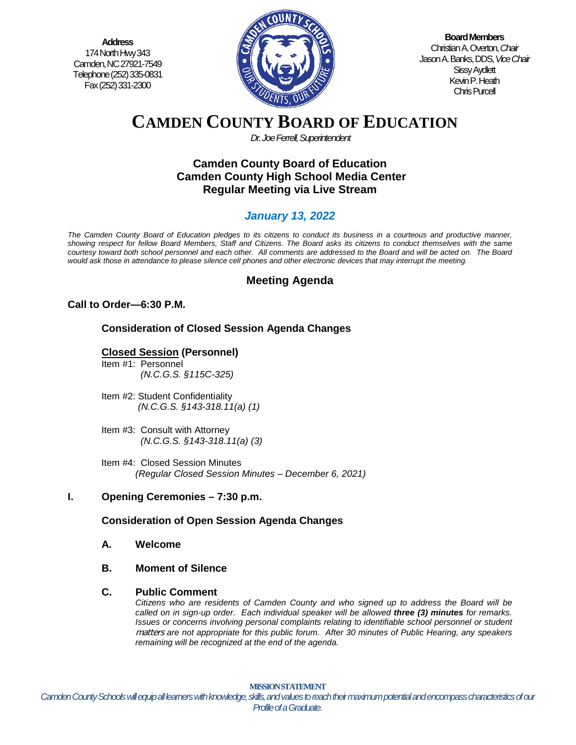**Address** 174 North Hwy 343 Camden, NC 27921-7549 Telephone (252) 335-0831 Fax (252) 331-2300



**Board Members** Christian A. Overton, *Chair* Jason A. Banks, DDS,*Vice Chair* Sissy Aydlett Kevin P. Heath Chris Purcell

# **CAMDEN COUNTY BOARD OF EDUCATION**

*Dr. Joe Ferrell, Superintendent*

## **Camden County Board of Education Camden County High School Media Center Regular Meeting via Live Stream**

# *January 13, 2022*

*The Camden County Board of Education pledges to its citizens to conduct its business in a courteous and productive manner, showing respect for fellow Board Members, Staff and Citizens. The Board asks its citizens to conduct themselves with the same courtesy toward both school personnel and each other. All comments are addressed to the Board and will be acted on. The Board would ask those in attendance to please silence cell phones and other electronic devices that may interrupt the meeting.*

# **Meeting Agenda**

## **Call to Order—6:30 P.M.**

## **Consideration of Closed Session Agenda Changes**

## **Closed Session (Personnel)**

- Item #1: Personnel *(N.C.G.S. §115C-325)*
- Item #2: Student Confidentiality *(N.C.G.S. §143-318.11(a) (1)*
- Item #3: Consult with Attorney  *(N.C.G.S. §143-318.11(a) (3)*
- Item #4: Closed Session Minutes *(Regular Closed Session Minutes – December 6, 2021)*

## **I. Opening Ceremonies – 7:30 p.m.**

## **Consideration of Open Session Agenda Changes**

- **A. Welcome**
- **B. Moment of Silence**

#### **C. Public Comment**

*Citizens who are residents of Camden County and who signed up to address the Board will be called on in sign-up order. Each individual speaker will be allowed three (3) minutes for remarks. Issues or concerns involving personal complaints relating to identifiable school personnel or student* matters *are not appropriate for this public forum. After 30 minutes of Public Hearing, any speakers remaining will be recognized at the end of the agenda.*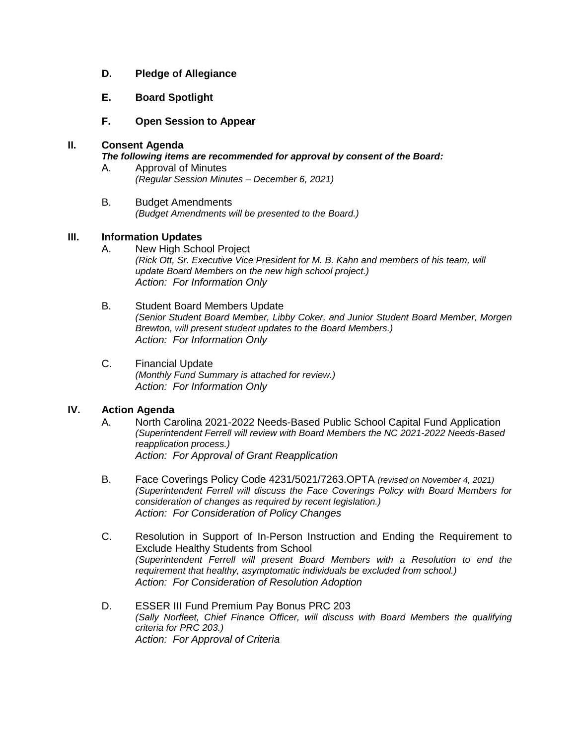#### **D. Pledge of Allegiance**

#### **E. Board Spotlight**

**F. Open Session to Appear**

#### **II. Consent Agenda**

#### *The following items are recommended for approval by consent of the Board:*

- A. Approval of Minutes *(Regular Session Minutes – December 6, 2021)*
- B. Budget Amendments *(Budget Amendments will be presented to the Board.)*

#### **III. Information Updates**

- A. New High School Project *(Rick Ott, Sr. Executive Vice President for M. B. Kahn and members of his team, will update Board Members on the new high school project.) Action: For Information Only*
- B. Student Board Members Update *(Senior Student Board Member, Libby Coker, and Junior Student Board Member, Morgen Brewton, will present student updates to the Board Members.) Action: For Information Only*
- C. Financial Update *(Monthly Fund Summary is attached for review.) Action: For Information Only*

#### **IV. Action Agenda**

- A. North Carolina 2021-2022 Needs-Based Public School Capital Fund Application *(Superintendent Ferrell will review with Board Members the NC 2021-2022 Needs-Based reapplication process.) Action: For Approval of Grant Reapplication*
- B. Face Coverings Policy Code 4231/5021/7263.OPTA *(revised on November 4, 2021) (Superintendent Ferrell will discuss the Face Coverings Policy with Board Members for consideration of changes as required by recent legislation.) Action: For Consideration of Policy Changes*
- C. Resolution in Support of In-Person Instruction and Ending the Requirement to Exclude Healthy Students from School *(Superintendent Ferrell will present Board Members with a Resolution to end the requirement that healthy, asymptomatic individuals be excluded from school.) Action: For Consideration of Resolution Adoption*
- D. ESSER III Fund Premium Pay Bonus PRC 203 *(Sally Norfleet, Chief Finance Officer, will discuss with Board Members the qualifying criteria for PRC 203.) Action: For Approval of Criteria*